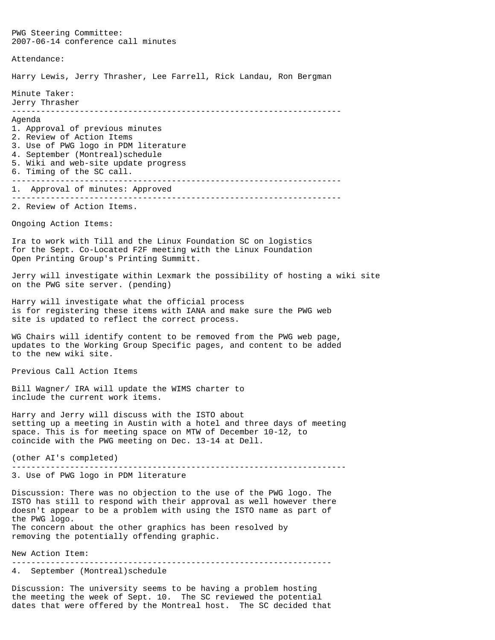PWG Steering Committee: 2007-06-14 conference call minutes Attendance: Harry Lewis, Jerry Thrasher, Lee Farrell, Rick Landau, Ron Bergman Minute Taker: Jerry Thrasher -------------------------------------------------------------------- Agenda 1. Approval of previous minutes 2. Review of Action Items 3. Use of PWG logo in PDM literature 4. September (Montreal)schedule 5. Wiki and web-site update progress 6. Timing of the SC call. -------------------------------------------------------------------- 1. Approval of minutes: Approved -------------------------------------------------------------------- 2. Review of Action Items. Ongoing Action Items: Ira to work with Till and the Linux Foundation SC on logistics for the Sept. Co-Located F2F meeting with the Linux Foundation Open Printing Group's Printing Summitt. Jerry will investigate within Lexmark the possibility of hosting a wiki site on the PWG site server. (pending) Harry will investigate what the official process is for registering these items with IANA and make sure the PWG web site is updated to reflect the correct process. WG Chairs will identify content to be removed from the PWG web page, updates to the Working Group Specific pages, and content to be added to the new wiki site. Previous Call Action Items Bill Wagner/ IRA will update the WIMS charter to include the current work items. Harry and Jerry will discuss with the ISTO about setting up a meeting in Austin with a hotel and three days of meeting space. This is for meeting space on MTW of December 10-12, to coincide with the PWG meeting on Dec. 13-14 at Dell. (other AI's completed) --------------------------------------------------------------------- 3. Use of PWG logo in PDM literature Discussion: There was no objection to the use of the PWG logo. The ISTO has still to respond with their approval as well however there doesn't appear to be a problem with using the ISTO name as part of the PWG logo. The concern about the other graphics has been resolved by removing the potentially offending graphic. New Action Item:

------------------------------------------------------------------

4. September (Montreal)schedule

Discussion: The university seems to be having a problem hosting the meeting the week of Sept. 10. The SC reviewed the potential dates that were offered by the Montreal host. The SC decided that